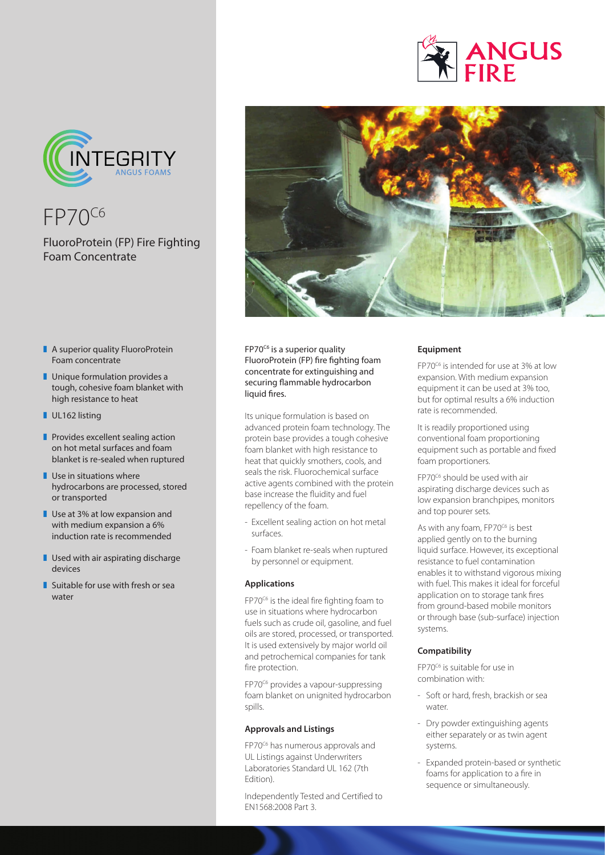



FP70C6

## FluoroProtein (FP) Fire Fighting Foam Concentrate

- $\blacksquare$  A superior quality FluoroProtein Foam concentrate
- $\blacksquare$  Unique formulation provides a tough, cohesive foam blanket with high resistance to heat
- UL162 listing
- $\blacksquare$  Provides excellent sealing action on hot metal surfaces and foam blanket is re-sealed when ruptured
- $\blacksquare$  Use in situations where hydrocarbons are processed, stored or transported
- $\blacksquare$  Use at 3% at low expansion and with medium expansion a 6% induction rate is recommended
- $\blacksquare$  Used with air aspirating discharge devices
- $\blacksquare$  Suitable for use with fresh or sea water



FP70<sup>c6</sup> is a superior quality FluoroProtein (FP) fire fighting foam concentrate for extinguishing and securing flammable hydrocarbon liquid fires.

Its unique formulation is based on advanced protein foam technology. The protein base provides a tough cohesive foam blanket with high resistance to heat that quickly smothers, cools, and seals the risk. Fluorochemical surface active agents combined with the protein base increase the fluidity and fuel repellency of the foam.

- Excellent sealing action on hot metal surfaces.
- Foam blanket re-seals when ruptured by personnel or equipment.

### **Applications**

FP70<sup>C6</sup> is the ideal fire fighting foam to use in situations where hydrocarbon fuels such as crude oil, gasoline, and fuel oils are stored, processed, or transported. It is used extensively by major world oil and petrochemical companies for tank fire protection.

FP70<sup>c6</sup> provides a vapour-suppressing foam blanket on unignited hydrocarbon spills.

### **Approvals and Listings**

FP70<sup>c6</sup> has numerous approvals and UL Listings against Underwriters Laboratories Standard UL 162 (7th Edition).

Independently Tested and Certified to EN1568:2008 Part 3.

### **Equipment**

FP70C6 is intended for use at 3% at low expansion. With medium expansion equipment it can be used at 3% too, but for optimal results a 6% induction rate is recommended.

It is readily proportioned using conventional foam proportioning equipment such as portable and fixed foam proportioners.

FP70<sup>c6</sup> should be used with air aspirating discharge devices such as low expansion branchpipes, monitors and top pourer sets.

As with any foam, FP70<sup>C6</sup> is best applied gently on to the burning liquid surface. However, its exceptional resistance to fuel contamination enables it to withstand vigorous mixing with fuel. This makes it ideal for forceful application on to storage tank fires from ground-based mobile monitors or through base (sub-surface) injection systems.

### **Compatibility**

FP70C6 is suitable for use in combination with:

- Soft or hard, fresh, brackish or sea water.
- Dry powder extinguishing agents either separately or as twin agent systems.
- Expanded protein-based or synthetic foams for application to a fire in sequence or simultaneously.